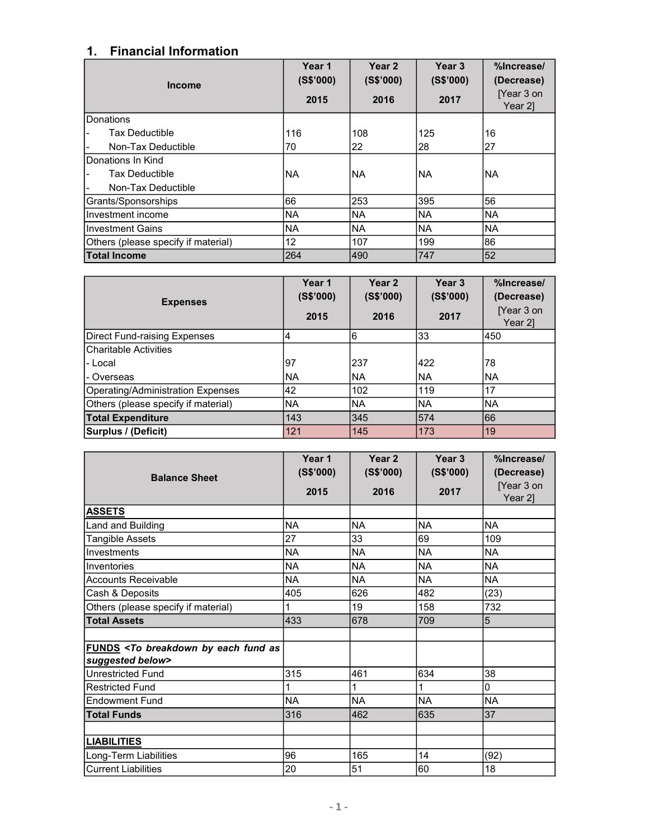## 1. Financial Information

| <b>Income</b>                       | Year 1<br>(S\$'000) | Year 2<br>(S\$'000) | Year <sub>3</sub><br>(S\$'000) | %Increase/<br>(Decrease) |
|-------------------------------------|---------------------|---------------------|--------------------------------|--------------------------|
|                                     | 2015                | 2016                | 2017                           | [Year 3 on<br>Year 21    |
| <b>IDonations</b>                   |                     |                     |                                |                          |
| <b>Tax Deductible</b>               | 116                 | 108                 | 125                            | 16                       |
| Non-Tax Deductible                  | 70                  | 22                  | 28                             | 27                       |
| Donations In Kind                   |                     |                     |                                |                          |
| <b>Tax Deductible</b>               | <b>NA</b>           | <b>NA</b>           | <b>INA</b>                     | INA                      |
| Non-Tax Deductible                  |                     |                     |                                |                          |
| Grants/Sponsorships                 | 66                  | 253                 | 395                            | 56                       |
| Ilnvestment income                  | <b>NA</b>           | <b>NA</b>           | <b>NA</b>                      | INA                      |
| IInvestment Gains                   | <b>NA</b>           | <b>NA</b>           | <b>NA</b>                      | <b>NA</b>                |
| Others (please specify if material) | 12                  | 107                 | 199                            | 86                       |
| <b>Total Income</b>                 | 264                 | 490                 | 747                            | 152                      |

| <b>Expenses</b>                     | Year 1<br>(S\$'000)<br>2015 | Year <sub>2</sub><br>(S\$'000)<br>2016 | Year <sub>3</sub><br>(S\$'000)<br>2017 | %Increase/<br>(Decrease)<br>[Year 3 on<br>Year 2] |
|-------------------------------------|-----------------------------|----------------------------------------|----------------------------------------|---------------------------------------------------|
| Direct Fund-raising Expenses        | 4                           | 6                                      | 33                                     | 450                                               |
| Charitable Activities               |                             |                                        |                                        |                                                   |
| l- Local                            | 97                          | 237                                    | 422                                    | 78                                                |
| l- Overseas                         | INA                         | <b>NA</b>                              | <b>INA</b>                             | INA                                               |
| Operating/Administration Expenses   | 42                          | 102                                    | 119                                    | 17                                                |
| Others (please specify if material) | <b>NA</b>                   | <b>NA</b>                              | <b>NA</b>                              | INA                                               |
| <b>Total Expenditure</b>            | 143                         | 345                                    | 574                                    | 66                                                |
| Surplus / (Deficit)                 | 121                         | 145                                    | 173                                    | 19                                                |

| <b>Balance Sheet</b>                                                                          | Year 1<br>(S\$'000) | Year 2<br>(S\$'000) | Year 3<br>(S\$'000) | %Increase/<br>(Decrease) |
|-----------------------------------------------------------------------------------------------|---------------------|---------------------|---------------------|--------------------------|
|                                                                                               | 2015                | 2016                | 2017                | [Year 3 on<br>Year 2]    |
| <b>ASSETS</b>                                                                                 |                     |                     |                     |                          |
| Land and Building                                                                             | <b>NA</b>           | <b>NA</b>           | <b>NA</b>           | <b>NA</b>                |
| Tangible Assets                                                                               | 27                  | 33                  | 69                  | 109                      |
| Investments                                                                                   | <b>NA</b>           | <b>NA</b>           | <b>NA</b>           | <b>NA</b>                |
| Inventories                                                                                   | <b>NA</b>           | <b>NA</b>           | <b>NA</b>           | <b>NA</b>                |
| <b>Accounts Receivable</b>                                                                    | <b>NA</b>           | <b>NA</b>           | <b>NA</b>           | <b>NA</b>                |
| Cash & Deposits                                                                               | 405                 | 626                 | 482                 | (23)                     |
| Others (please specify if material)                                                           |                     | 19                  | 158                 | 732                      |
| <b>Total Assets</b>                                                                           | 433                 | 678                 | 709                 | 5                        |
|                                                                                               |                     |                     |                     |                          |
| <b>FUNDS <to as<="" b="" breakdown="" by="" each="" fund=""><br/>suggested below&gt;</to></b> |                     |                     |                     |                          |
| <b>Unrestricted Fund</b>                                                                      | 315                 | 461                 | 634                 | 38                       |
| <b>Restricted Fund</b>                                                                        | 1                   | 1                   | 1                   | 0                        |
| <b>Endowment Fund</b>                                                                         | <b>NA</b>           | <b>NA</b>           | <b>NA</b>           | <b>NA</b>                |
| <b>Total Funds</b>                                                                            | 316                 | 462                 | 635                 | 37                       |
|                                                                                               |                     |                     |                     |                          |
| <b>LIABILITIES</b>                                                                            |                     |                     |                     |                          |
| Long-Term Liabilities                                                                         | 96                  | 165                 | 14                  | (92)                     |
| <b>Current Liabilities</b>                                                                    | 20                  | 51                  | 60                  | 18                       |